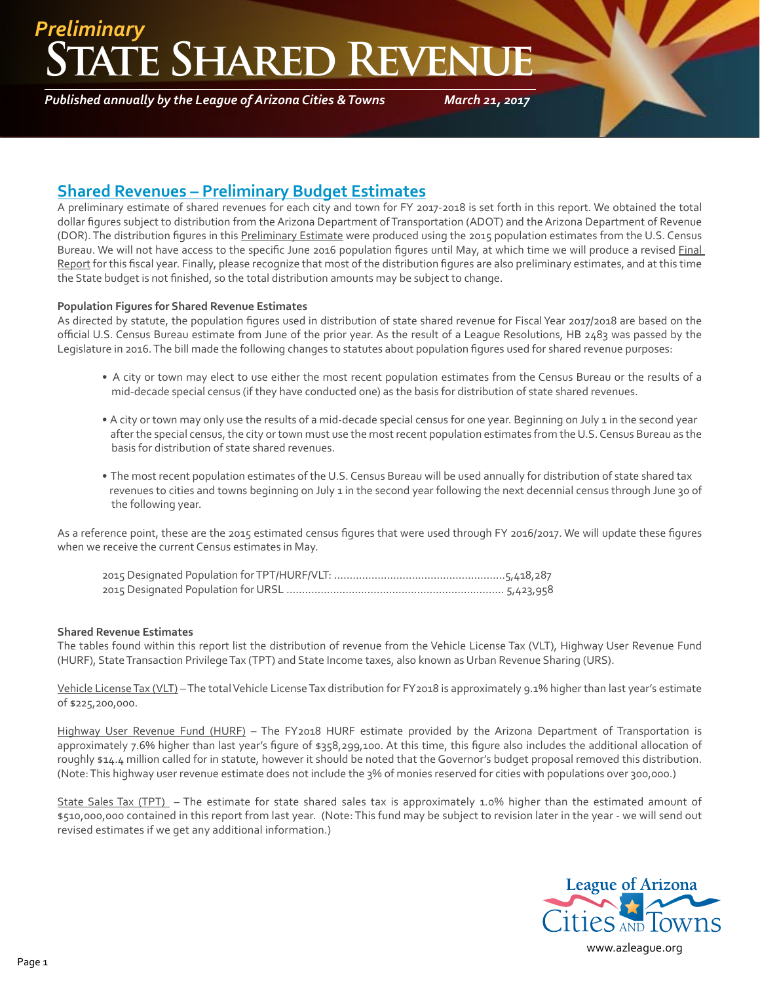### **ATE SHARED REVEN** *Preliminary*

*Published annually by the League of Arizona Cities & Towns*

*March 21, 2017*

### **Shared Revenues – Preliminary Budget Estimates**

A preliminary estimate of shared revenues for each city and town for FY 2017-2018 is set forth in this report. We obtained the total dollar figures subject to distribution from the Arizona Department of Transportation (ADOT) and the Arizona Department of Revenue (DOR). The distribution figures in this Preliminary Estimate were produced using the 2015 population estimates from the U.S. Census Bureau. We will not have access to the specific June 2016 population figures until May, at which time we will produce a revised Final Report for this fiscal year. Finally, please recognize that most of the distribution figures are also preliminary estimates, and at this time the State budget is not finished, so the total distribution amounts may be subject to change.

#### **Population Figures for Shared Revenue Estimates**

As directed by statute, the population figures used in distribution of state shared revenue for Fiscal Year 2017/2018 are based on the official U.S. Census Bureau estimate from June of the prior year. As the result of a League Resolutions, HB 2483 was passed by the Legislature in 2016. The bill made the following changes to statutes about population figures used for shared revenue purposes:

- A city or town may elect to use either the most recent population estimates from the Census Bureau or the results of a mid-decade special census (if they have conducted one) as the basis for distribution of state shared revenues.
- A city or town may only use the results of a mid-decade special census for one year. Beginning on July 1 in the second year after the special census, the city or town must use the most recent population estimates from the U.S. Census Bureau as the basis for distribution of state shared revenues.
- The most recent population estimates of the U.S. Census Bureau will be used annually for distribution of state shared tax revenues to cities and towns beginning on July 1 in the second year following the next decennial census through June 30 of the following year.

As a reference point, these are the 2015 estimated census figures that were used through FY 2016/2017. We will update these figures when we receive the current Census estimates in May.

#### **Shared Revenue Estimates**

The tables found within this report list the distribution of revenue from the Vehicle License Tax (VLT), Highway User Revenue Fund (HURF), State Transaction Privilege Tax (TPT) and State Income taxes, also known as Urban Revenue Sharing (URS).

Vehicle License Tax (VLT) – The total Vehicle License Tax distribution for FY2018 is approximately 9.1% higher than last year's estimate of \$225,200,000.

Highway User Revenue Fund (HURF) – The FY2018 HURF estimate provided by the Arizona Department of Transportation is approximately 7.6% higher than last year's figure of \$358,299,100. At this time, this figure also includes the additional allocation of roughly \$14.4 million called for in statute, however it should be noted that the Governor's budget proposal removed this distribution. (Note: This highway user revenue estimate does not include the 3% of monies reserved for cities with populations over 300,000.)

State Sales Tax (TPT) – The estimate for state shared sales tax is approximately 1.0% higher than the estimated amount of \$510,000,000 contained in this report from last year. (Note: This fund may be subject to revision later in the year - we will send out revised estimates if we get any additional information.)

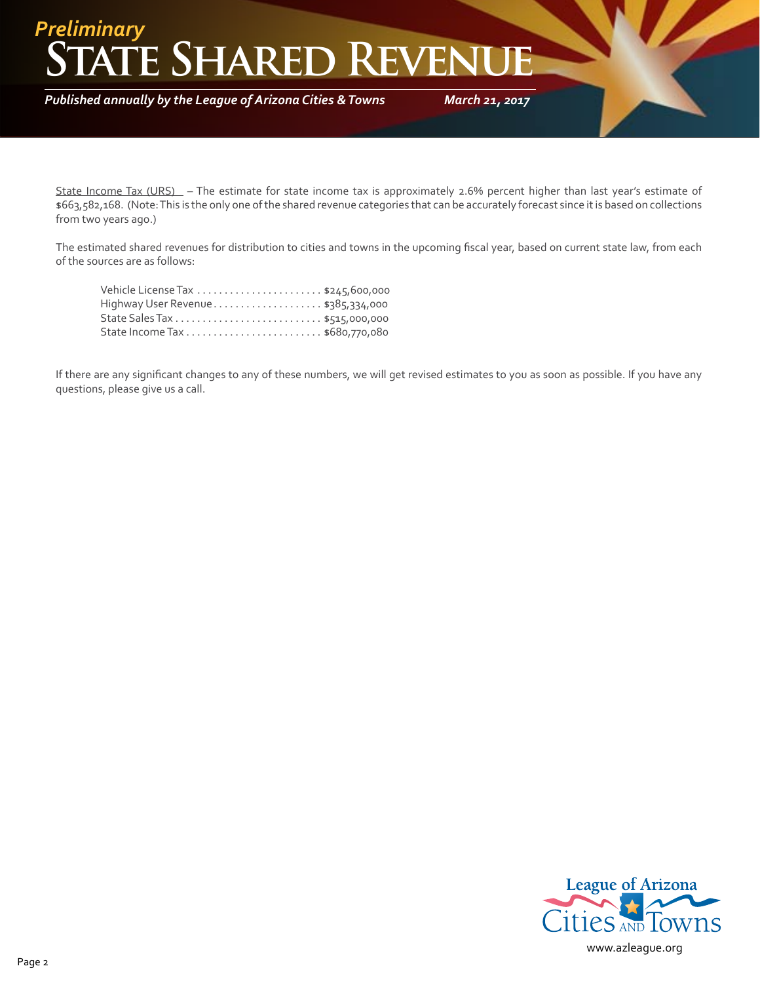## **ATE SHARED REVEN** *Preliminary*

*Published annually by the League of Arizona Cities & Towns*

*March 21, 2017*

State Income Tax (URS) – The estimate for state income tax is approximately 2.6% percent higher than last year's estimate of \$663,582,168. (Note: This is the only one of the shared revenue categories that can be accurately forecast since it is based on collections from two years ago.)

The estimated shared revenues for distribution to cities and towns in the upcoming fiscal year, based on current state law, from each of the sources are as follows:

| Highway User Revenue\$385,334,000 |  |
|-----------------------------------|--|
|                                   |  |
|                                   |  |

If there are any significant changes to any of these numbers, we will get revised estimates to you as soon as possible. If you have any questions, please give us a call.

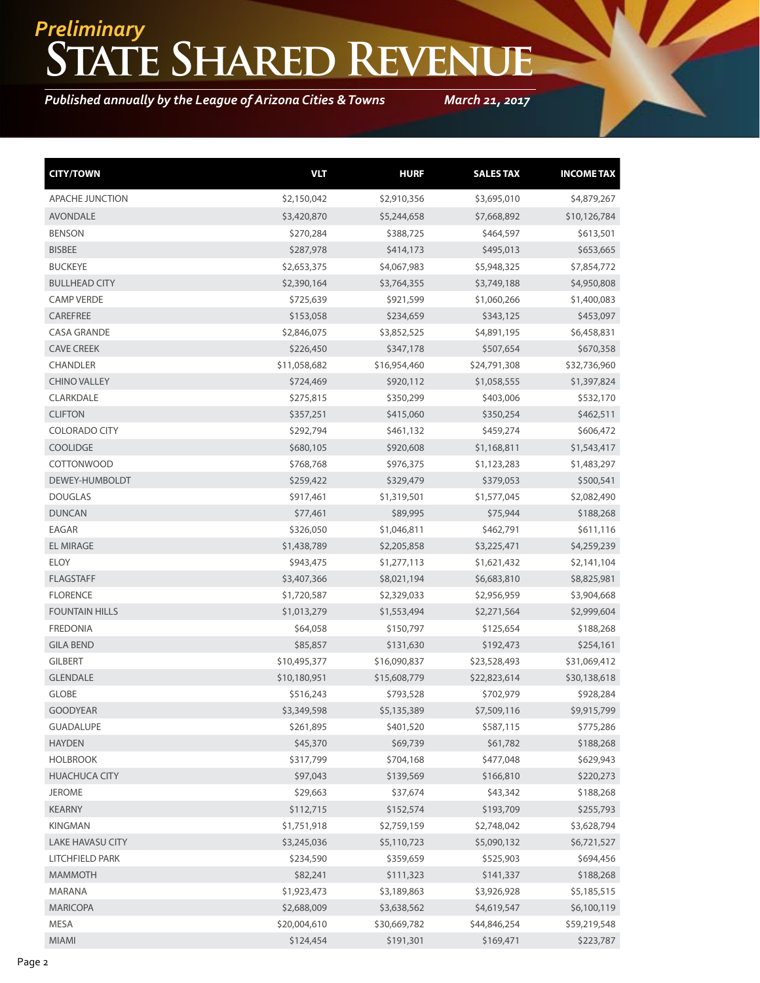# **State Shared Revenue** *Preliminary*

*Published annually by the League of Arizona Cities & Towns*

*March 21, 2017*

| <b>CITY/TOWN</b>        | <b>VLT</b>   | <b>HURF</b>  | <b>SALES TAX</b> | <b>INCOME TAX</b> |
|-------------------------|--------------|--------------|------------------|-------------------|
| APACHE JUNCTION         | \$2,150,042  | \$2,910,356  | \$3,695,010      | \$4,879,267       |
| <b>AVONDALE</b>         | \$3,420,870  | \$5,244,658  | \$7,668,892      | \$10,126,784      |
| <b>BENSON</b>           | \$270,284    | \$388,725    | \$464,597        | \$613,501         |
| <b>BISBEE</b>           | \$287,978    | \$414,173    | \$495,013        | \$653,665         |
| <b>BUCKEYE</b>          | \$2,653,375  | \$4,067,983  | \$5,948,325      | \$7,854,772       |
| <b>BULLHEAD CITY</b>    | \$2,390,164  | \$3,764,355  | \$3,749,188      | \$4,950,808       |
| <b>CAMP VERDE</b>       | \$725,639    | \$921,599    | \$1,060,266      | \$1,400,083       |
| CAREFREE                | \$153,058    | \$234,659    | \$343,125        | \$453,097         |
| <b>CASA GRANDE</b>      | \$2,846,075  | \$3,852,525  | \$4,891,195      | \$6,458,831       |
| <b>CAVE CREEK</b>       | \$226,450    | \$347,178    | \$507,654        | \$670,358         |
| <b>CHANDLER</b>         | \$11,058,682 | \$16,954,460 | \$24,791,308     | \$32,736,960      |
| <b>CHINO VALLEY</b>     | \$724,469    | \$920,112    | \$1,058,555      | \$1,397,824       |
| CLARKDALE               | \$275,815    | \$350,299    | \$403,006        | \$532,170         |
| <b>CLIFTON</b>          | \$357,251    | \$415,060    | \$350,254        | \$462,511         |
| <b>COLORADO CITY</b>    | \$292,794    | \$461,132    | \$459,274        | \$606,472         |
| <b>COOLIDGE</b>         | \$680,105    | \$920,608    | \$1,168,811      | \$1,543,417       |
| COTTONWOOD              | \$768,768    | \$976,375    | \$1,123,283      | \$1,483,297       |
| DEWEY-HUMBOLDT          | \$259,422    | \$329,479    | \$379,053        | \$500,541         |
| <b>DOUGLAS</b>          | \$917,461    | \$1,319,501  | \$1,577,045      | \$2,082,490       |
| <b>DUNCAN</b>           | \$77,461     | \$89,995     | \$75,944         | \$188,268         |
| EAGAR                   | \$326,050    | \$1,046,811  | \$462,791        | \$611,116         |
| <b>EL MIRAGE</b>        | \$1,438,789  | \$2,205,858  | \$3,225,471      | \$4,259,239       |
| <b>ELOY</b>             | \$943,475    | \$1,277,113  | \$1,621,432      | \$2,141,104       |
| <b>FLAGSTAFF</b>        | \$3,407,366  | \$8,021,194  | \$6,683,810      | \$8,825,981       |
| <b>FLORENCE</b>         | \$1,720,587  | \$2,329,033  | \$2,956,959      | \$3,904,668       |
| <b>FOUNTAIN HILLS</b>   | \$1,013,279  | \$1,553,494  | \$2,271,564      | \$2,999,604       |
| <b>FREDONIA</b>         | \$64,058     | \$150,797    | \$125,654        | \$188,268         |
| <b>GILA BEND</b>        | \$85,857     | \$131,630    | \$192,473        | \$254,161         |
| <b>GILBERT</b>          | \$10,495,377 | \$16,090,837 | \$23,528,493     | \$31,069,412      |
| <b>GLENDALE</b>         | \$10,180,951 | \$15,608,779 | \$22,823,614     | \$30,138,618      |
| <b>GLOBE</b>            | \$516,243    | \$793,528    | \$702,979        | \$928,284         |
| <b>GOODYEAR</b>         | \$3,349,598  | \$5,135,389  | \$7,509,116      | \$9,915,799       |
| <b>GUADALUPE</b>        | \$261,895    | \$401,520    | \$587,115        | \$775,286         |
| <b>HAYDEN</b>           | \$45,370     | \$69,739     | \$61,782         | \$188,268         |
| <b>HOLBROOK</b>         | \$317,799    | \$704,168    | \$477,048        | \$629,943         |
| <b>HUACHUCA CITY</b>    | \$97,043     | \$139,569    | \$166,810        | \$220,273         |
| <b>JEROME</b>           | \$29,663     | \$37,674     | \$43,342         | \$188,268         |
| <b>KEARNY</b>           | \$112,715    | \$152,574    | \$193,709        | \$255,793         |
| <b>KINGMAN</b>          | \$1,751,918  | \$2,759,159  | \$2,748,042      | \$3,628,794       |
| <b>LAKE HAVASU CITY</b> | \$3,245,036  | \$5,110,723  | \$5,090,132      | \$6,721,527       |
| <b>LITCHFIELD PARK</b>  | \$234,590    | \$359,659    | \$525,903        | \$694,456         |
| <b>MAMMOTH</b>          | \$82,241     | \$111,323    | \$141,337        | \$188,268         |
| MARANA                  | \$1,923,473  | \$3,189,863  | \$3,926,928      | \$5,185,515       |
| <b>MARICOPA</b>         | \$2,688,009  | \$3,638,562  | \$4,619,547      | \$6,100,119       |
| MESA                    | \$20,004,610 | \$30,669,782 | \$44,846,254     | \$59,219,548      |
| MIAMI                   | \$124,454    | \$191,301    | \$169,471        | \$223,787         |